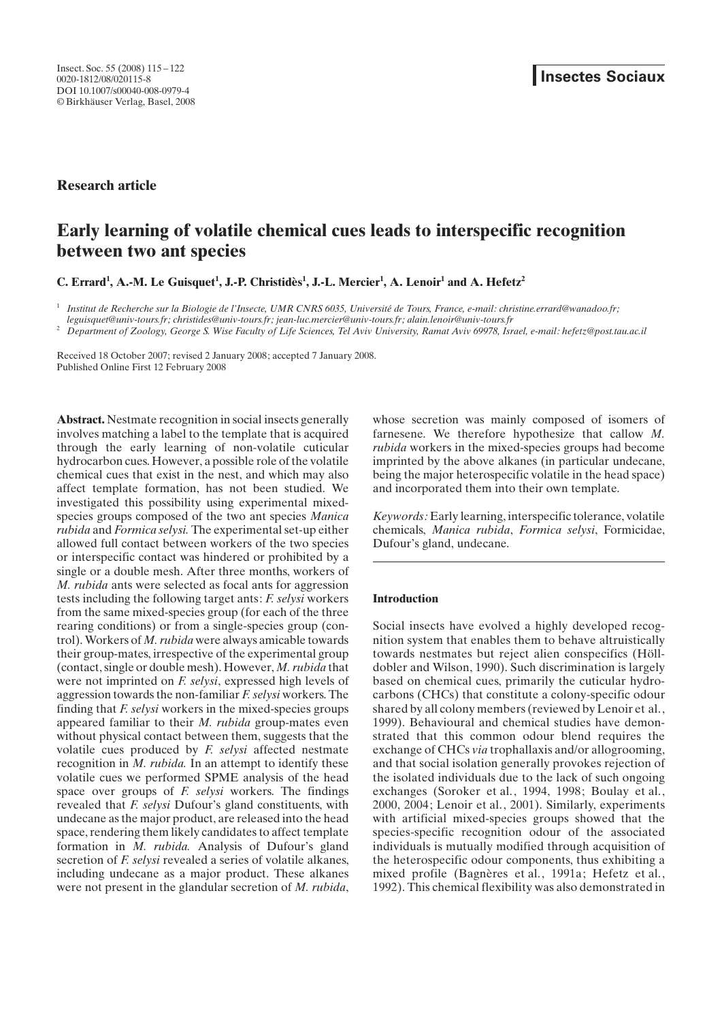Research article

# Early learning of volatile chemical cues leads to interspecific recognition between two ant species

C. Errard<sup>1</sup>, A.-M. Le Guisquet<sup>1</sup>, J.-P. Christidès<sup>1</sup>, J.-L. Mercier<sup>1</sup>, A. Lenoir<sup>1</sup> and A. Hefetz<sup>2</sup>

 $^1$  Institut de Recherche sur la Biologie de l'Insecte, UMR CNRS 6035, Université de Tours, France, e-mail: christine.errard@wanadoo.fr;

leguisquet@univ-tours.fr; christides@univ-tours.fr; jean-luc.mercier@univ-tours.fr; alain.lenoir@univ-tours.fr

<sup>2</sup> Department of Zoology, George S. Wise Faculty of Life Sciences, Tel Aviv University, Ramat Aviv 69978, Israel, e-mail: hefetz@post.tau.ac.il

Received 18 October 2007; revised 2 January 2008; accepted 7 January 2008. Published Online First 12 February 2008

Abstract. Nestmate recognition in social insects generally involves matching a label to the template that is acquired through the early learning of non-volatile cuticular hydrocarbon cues. However, a possible role of the volatile chemical cues that exist in the nest, and which may also affect template formation, has not been studied. We investigated this possibility using experimental mixedspecies groups composed of the two ant species Manica rubida and Formica selysi. The experimental set-up either allowed full contact between workers of the two species or interspecific contact was hindered or prohibited by a single or a double mesh. After three months, workers of M. rubida ants were selected as focal ants for aggression tests including the following target ants: F. selysi workers from the same mixed-species group (for each of the three rearing conditions) or from a single-species group (control). Workers of M. rubida were always amicable towards their group-mates, irrespective of the experimental group (contact, single or double mesh). However, M. rubida that were not imprinted on *F. selysi*, expressed high levels of aggression towards the non-familiar F. selysi workers. The finding that  $F$ . selysi workers in the mixed-species groups appeared familiar to their M. rubida group-mates even without physical contact between them, suggests that the volatile cues produced by F. selysi affected nestmate recognition in *M. rubida*. In an attempt to identify these volatile cues we performed SPME analysis of the head space over groups of F. selysi workers. The findings revealed that *F. selysi* Dufour's gland constituents, with undecane as the major product, are released into the head space, rendering them likely candidates to affect template formation in  $M$ . *rubida*. Analysis of Dufour's gland secretion of *F. selysi* revealed a series of volatile alkanes, including undecane as a major product. These alkanes were not present in the glandular secretion of *M. rubida*,

whose secretion was mainly composed of isomers of farnesene. We therefore hypothesize that callow M. rubida workers in the mixed-species groups had become imprinted by the above alkanes (in particular undecane, being the major heterospecific volatile in the head space) and incorporated them into their own template.

Keywords: Early learning, interspecific tolerance, volatile chemicals, Manica rubida, Formica selysi, Formicidae, Dufour's gland, undecane.

## **Introduction**

Social insects have evolved a highly developed recognition system that enables them to behave altruistically towards nestmates but reject alien conspecifics (Hölldobler and Wilson, 1990). Such discrimination is largely based on chemical cues, primarily the cuticular hydrocarbons (CHCs) that constitute a colony-specific odour shared by all colony members (reviewed by Lenoir et al., 1999). Behavioural and chemical studies have demonstrated that this common odour blend requires the exchange of CHCs via trophallaxis and/or allogrooming, and that social isolation generally provokes rejection of the isolated individuals due to the lack of such ongoing exchanges (Soroker et al., 1994, 1998; Boulay et al., 2000, 2004; Lenoir et al., 2001). Similarly, experiments with artificial mixed-species groups showed that the species-specific recognition odour of the associated individuals is mutually modified through acquisition of the heterospecific odour components, thus exhibiting a mixed profile (Bagnères et al., 1991a; Hefetz et al., 1992). This chemical flexibility was also demonstrated in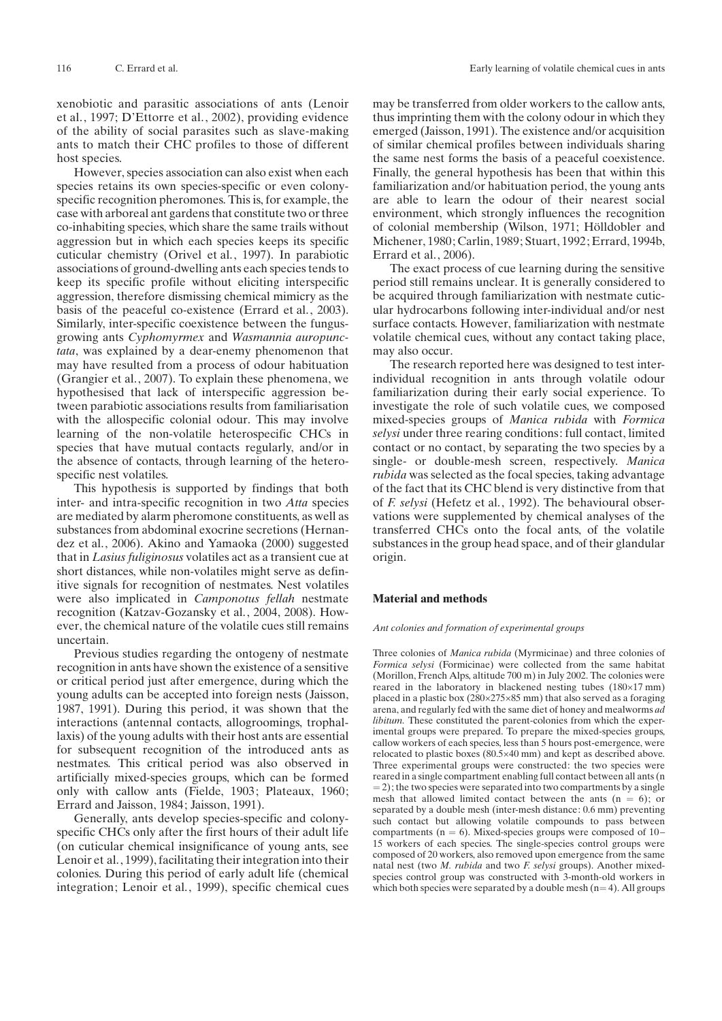xenobiotic and parasitic associations of ants (Lenoir et al., 1997; D'Ettorre et al., 2002), providing evidence of the ability of social parasites such as slave-making ants to match their CHC profiles to those of different host species.

However, species association can also exist when each species retains its own species-specific or even colonyspecific recognition pheromones. This is, for example, the case with arboreal ant gardens that constitute two or three co-inhabiting species, which share the same trails without aggression but in which each species keeps its specific cuticular chemistry (Orivel et al., 1997). In parabiotic associations of ground-dwelling ants each species tends to keep its specific profile without eliciting interspecific aggression, therefore dismissing chemical mimicry as the basis of the peaceful co-existence (Errard et al., 2003). Similarly, inter-specific coexistence between the fungusgrowing ants Cyphomyrmex and Wasmannia auropunctata, was explained by a dear-enemy phenomenon that may have resulted from a process of odour habituation (Grangier et al., 2007). To explain these phenomena, we hypothesised that lack of interspecific aggression between parabiotic associations results from familiarisation with the allospecific colonial odour. This may involve learning of the non-volatile heterospecific CHCs in species that have mutual contacts regularly, and/or in the absence of contacts, through learning of the heterospecific nest volatiles.

This hypothesis is supported by findings that both inter- and intra-specific recognition in two Atta species are mediated by alarm pheromone constituents, as well as substances from abdominal exocrine secretions (Hernandez et al., 2006). Akino and Yamaoka (2000) suggested that in Lasius fuliginosus volatiles act as a transient cue at short distances, while non-volatiles might serve as definitive signals for recognition of nestmates. Nest volatiles were also implicated in Camponotus fellah nestmate recognition (Katzav-Gozansky et al., 2004, 2008). However, the chemical nature of the volatile cues still remains uncertain.

Previous studies regarding the ontogeny of nestmate recognition in ants have shown the existence of a sensitive or critical period just after emergence, during which the young adults can be accepted into foreign nests (Jaisson, 1987, 1991). During this period, it was shown that the interactions (antennal contacts, allogroomings, trophallaxis) of the young adults with their host ants are essential for subsequent recognition of the introduced ants as nestmates. This critical period was also observed in artificially mixed-species groups, which can be formed only with callow ants (Fielde, 1903; Plateaux, 1960; Errard and Jaisson, 1984; Jaisson, 1991).

Generally, ants develop species-specific and colonyspecific CHCs only after the first hours of their adult life (on cuticular chemical insignificance of young ants, see Lenoir et al., 1999), facilitating their integration into their colonies. During this period of early adult life (chemical integration; Lenoir et al., 1999), specific chemical cues may be transferred from older workers to the callow ants, thus imprinting them with the colony odour in which they emerged (Jaisson, 1991). The existence and/or acquisition of similar chemical profiles between individuals sharing the same nest forms the basis of a peaceful coexistence. Finally, the general hypothesis has been that within this familiarization and/or habituation period, the young ants are able to learn the odour of their nearest social environment, which strongly influences the recognition of colonial membership (Wilson, 1971; Hölldobler and Michener, 1980; Carlin, 1989; Stuart, 1992; Errard, 1994b, Errard et al., 2006).

The exact process of cue learning during the sensitive period still remains unclear. It is generally considered to be acquired through familiarization with nestmate cuticular hydrocarbons following inter-individual and/or nest surface contacts. However, familiarization with nestmate volatile chemical cues, without any contact taking place, may also occur.

The research reported here was designed to test interindividual recognition in ants through volatile odour familiarization during their early social experience. To investigate the role of such volatile cues, we composed mixed-species groups of Manica rubida with Formica selysi under three rearing conditions: full contact, limited contact or no contact, by separating the two species by a single- or double-mesh screen, respectively. Manica rubida was selected as the focal species, taking advantage of the fact that its CHC blend is very distinctive from that of F. selysi (Hefetz et al., 1992). The behavioural observations were supplemented by chemical analyses of the transferred CHCs onto the focal ants, of the volatile substances in the group head space, and of their glandular origin.

#### Material and methods

#### Ant colonies and formation of experimental groups

Three colonies of Manica rubida (Myrmicinae) and three colonies of Formica selysi (Formicinae) were collected from the same habitat (Morillon, French Alps, altitude 700 m) in July 2002. The colonies were reared in the laboratory in blackened nesting tubes  $(180\times17 \text{ mm})$ placed in a plastic box  $(280\times275\times85 \text{ mm})$  that also served as a foraging arena, and regularly fed with the same diet of honey and mealworms ad libitum. These constituted the parent-colonies from which the experimental groups were prepared. To prepare the mixed-species groups, callow workers of each species, less than 5 hours post-emergence, were relocated to plastic boxes  $(80.5 \times 40 \text{ mm})$  and kept as described above. Three experimental groups were constructed: the two species were reared in a single compartment enabling full contact between all ants (n  $= 2$ ); the two species were separated into two compartments by a single mesh that allowed limited contact between the ants  $(n = 6)$ ; or separated by a double mesh (inter-mesh distance: 0.6 mm) preventing such contact but allowing volatile compounds to pass between compartments ( $n = 6$ ). Mixed-species groups were composed of  $10-$ 15 workers of each species. The single-species control groups were composed of 20 workers, also removed upon emergence from the same natal nest (two M. rubida and two F. selysi groups). Another mixedspecies control group was constructed with 3-month-old workers in which both species were separated by a double mesh  $(n= 4)$ . All groups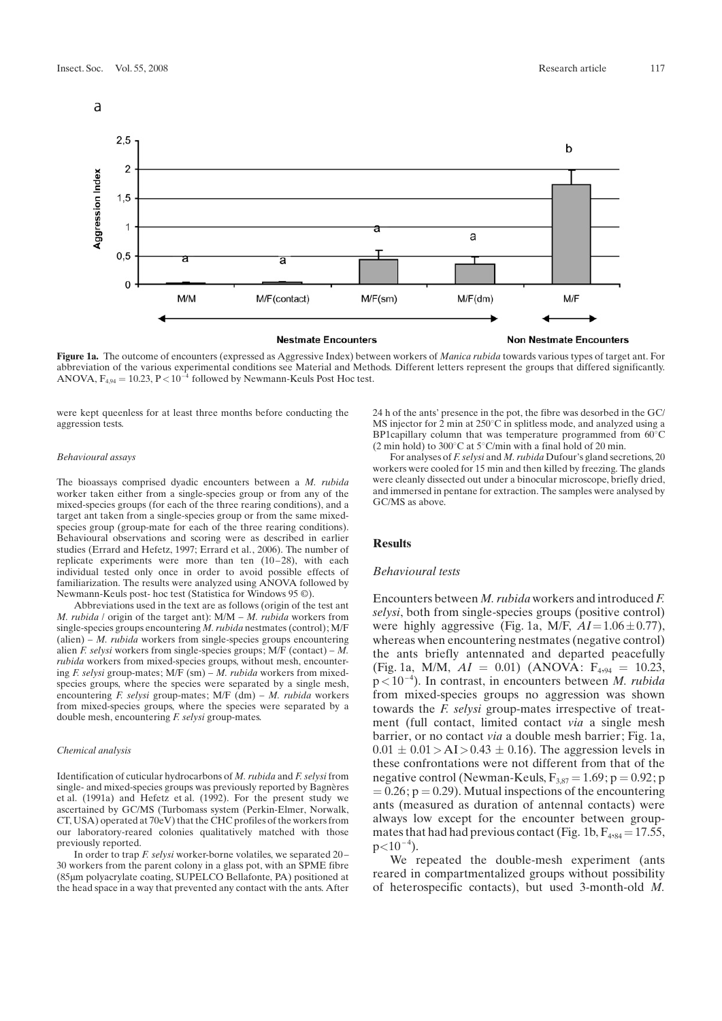

Figure 1a. The outcome of encounters (expressed as Aggressive Index) between workers of Manica rubida towards various types of target ant. For abbreviation of the various experimental conditions see Material and Methods. Different letters represent the groups that differed significantly. ANOVA,  $F_{4,94} = 10.23$ ,  $P < 10^{-4}$  followed by Newmann-Keuls Post Hoc test.

were kept queenless for at least three months before conducting the aggression tests.

#### Behavioural assays

The bioassays comprised dyadic encounters between a M. rubida worker taken either from a single-species group or from any of the mixed-species groups (for each of the three rearing conditions), and a target ant taken from a single-species group or from the same mixedspecies group (group-mate for each of the three rearing conditions). Behavioural observations and scoring were as described in earlier studies (Errard and Hefetz, 1997; Errard et al., 2006). The number of replicate experiments were more than ten  $(10-28)$ , with each individual tested only once in order to avoid possible effects of familiarization. The results were analyzed using ANOVA followed by Newmann-Keuls post- hoc test (Statistica for Windows 95  $\circledcirc$ ).

Abbreviations used in the text are as follows (origin of the test ant M. rubida / origin of the target ant):  $M/M - M$ . rubida workers from single-species groups encountering M. rubida nestmates (control); M/F  $(alien) - M. rubida workers from single-species groups encountering$ alien F. selysi workers from single-species groups;  $M/F$  (contact) – M. rubida workers from mixed-species groups, without mesh, encountering F. selysi group-mates;  $M/F$  (sm) – M. rubida workers from mixedspecies groups, where the species were separated by a single mesh, encountering F. selysi group-mates; M/F (dm) – M. rubida workers from mixed-species groups, where the species were separated by a double mesh, encountering F. selysi group-mates.

#### Chemical analysis

Identification of cuticular hydrocarbons of M. rubida and F. selysi from single- and mixed-species groups was previously reported by Bagnères et al. (1991a) and Hefetz et al. (1992). For the present study we ascertained by GC/MS (Turbomass system (Perkin-Elmer, Norwalk, CT, USA) operated at 70eV) that the CHC profiles of the workers from our laboratory-reared colonies qualitatively matched with those previously reported.

In order to trap F. selysi worker-borne volatiles, we separated 20 – 30 workers from the parent colony in a glass pot, with an SPME fibre (85*m*m polyacrylate coating, SUPELCO Bellafonte, PA) positioned at the head space in a way that prevented any contact with the ants. After 24 h of the ants' presence in the pot, the fibre was desorbed in the GC/  $MS$  injector for 2 min at  $250^{\circ}$ C in splitless mode, and analyzed using a BP1capillary column that was temperature programmed from  $60^{\circ}$ C (2 min hold) to 300 $^{\circ}$ C at 5 $^{\circ}$ C/min with a final hold of 20 min.

For analyses of F. selysi and M. rubida Dufour's gland secretions,  $20$ workers were cooled for 15 min and then killed by freezing. The glands were cleanly dissected out under a binocular microscope, briefly dried, and immersed in pentane for extraction. The samples were analysed by GC/MS as above.

## **Results**

## Behavioural tests

Encounters between M. rubida workers and introduced F. selysi, both from single-species groups (positive control) were highly aggressive (Fig. 1a, M/F,  $AI = 1.06 \pm 0.77$ ), whereas when encountering nestmates (negative control) the ants briefly antennated and departed peacefully (Fig. 1a, M/M,  $AI = 0.01$ ) (ANOVA:  $F_{4,94} = 10.23$ ,  $p<10^{-4}$ ). In contrast, in encounters between *M. rubida* from mixed-species groups no aggression was shown towards the F. selysi group-mates irrespective of treatment (full contact, limited contact via a single mesh barrier, or no contact via a double mesh barrier; Fig. 1a,  $0.01 \pm 0.01$  > AI > 0.43  $\pm$  0.16). The aggression levels in these confrontations were not different from that of the negative control (Newman-Keuls,  $F_{3.87} = 1.69$ ; p = 0.92; p  $= 0.26$ ;  $p = 0.29$ ). Mutual inspections of the encountering ants (measured as duration of antennal contacts) were always low except for the encounter between groupmates that had had previous contact (Fig. 1b,  $F_{4,84} = 17.55$ ,  $p<10^{-4}$ ).

We repeated the double-mesh experiment (ants reared in compartmentalized groups without possibility of heterospecific contacts), but used 3-month-old M.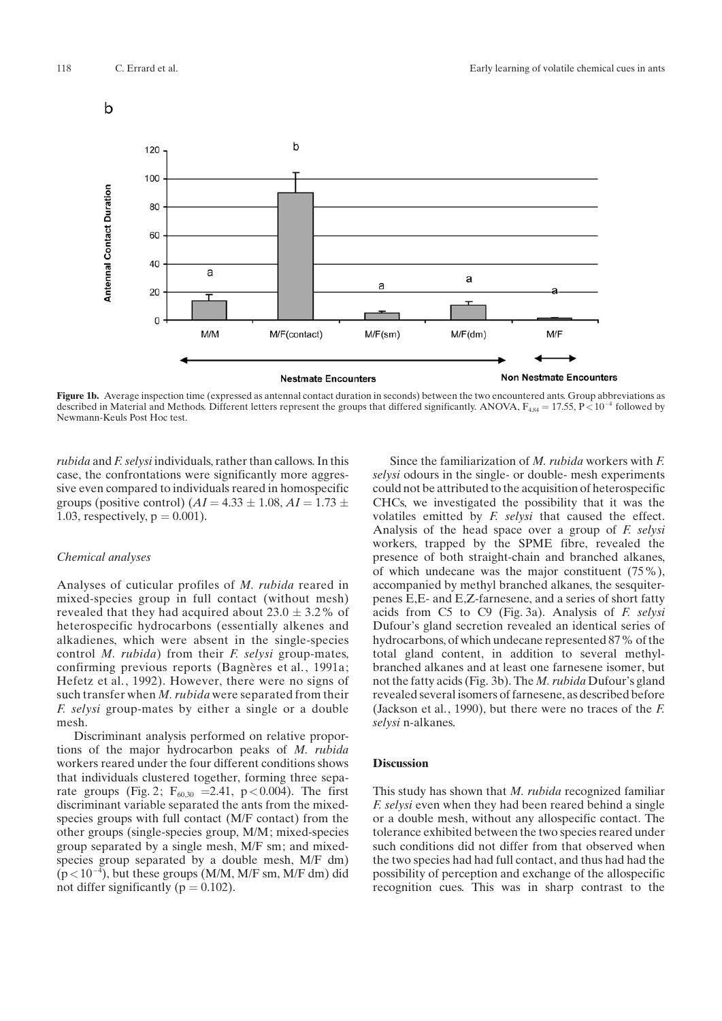

Figure 1b. Average inspection time (expressed as antennal contact duration in seconds) between the two encountered ants. Group abbreviations as described in Material and Methods. Different letters represent the groups that differed significantly. ANOVA,  $F_{4,84} = 17.55$ ,  $P \lt 10^{-4}$  followed by Newmann-Keuls Post Hoc test.

rubida and F. selysi individuals, rather than callows. In this case, the confrontations were significantly more aggressive even compared to individuals reared in homospecific groups (positive control)  $(AI = 4.33 \pm 1.08, AI = 1.73 \pm 1.08)$ 1.03, respectively,  $p = 0.001$ ).

#### Chemical analyses

Analyses of cuticular profiles of M. rubida reared in mixed-species group in full contact (without mesh) revealed that they had acquired about  $23.0 \pm 3.2\%$  of heterospecific hydrocarbons (essentially alkenes and alkadienes, which were absent in the single-species control M. rubida) from their F. selysi group-mates, confirming previous reports (Bagnères et al., 1991a; Hefetz et al., 1992). However, there were no signs of such transfer when M. rubida were separated from their F. selysi group-mates by either a single or a double mesh.

Discriminant analysis performed on relative proportions of the major hydrocarbon peaks of M. rubida workers reared under the four different conditions shows that individuals clustered together, forming three separate groups (Fig. 2;  $F_{60,30}$  = 2.41, p < 0.004). The first discriminant variable separated the ants from the mixedspecies groups with full contact (M/F contact) from the other groups (single-species group, M/M; mixed-species group separated by a single mesh, M/F sm; and mixedspecies group separated by a double mesh, M/F dm)  $(p<10^{-4})$ , but these groups (M/M, M/F sm, M/F dm) did not differ significantly ( $p = 0.102$ ).

Since the familiarization of M. rubida workers with F. selysi odours in the single- or double- mesh experiments could not be attributed to the acquisition of heterospecific CHCs, we investigated the possibility that it was the volatiles emitted by F. selysi that caused the effect. Analysis of the head space over a group of F. selysi workers, trapped by the SPME fibre, revealed the presence of both straight-chain and branched alkanes, of which undecane was the major constituent (75%), accompanied by methyl branched alkanes, the sesquiterpenes E,E- and E,Z-farnesene, and a series of short fatty acids from C5 to C9 (Fig. 3a). Analysis of F. selysi Dufour's gland secretion revealed an identical series of hydrocarbons, of which undecane represented 87% of the total gland content, in addition to several methylbranched alkanes and at least one farnesene isomer, but not the fatty acids (Fig. 3b). The *M. rubida* Dufour's gland revealed several isomers of farnesene, as described before (Jackson et al., 1990), but there were no traces of the F. selysi n-alkanes.

## **Discussion**

This study has shown that *M. rubida* recognized familiar F. selysi even when they had been reared behind a single or a double mesh, without any allospecific contact. The tolerance exhibited between the two species reared under such conditions did not differ from that observed when the two species had had full contact, and thus had had the possibility of perception and exchange of the allospecific recognition cues. This was in sharp contrast to the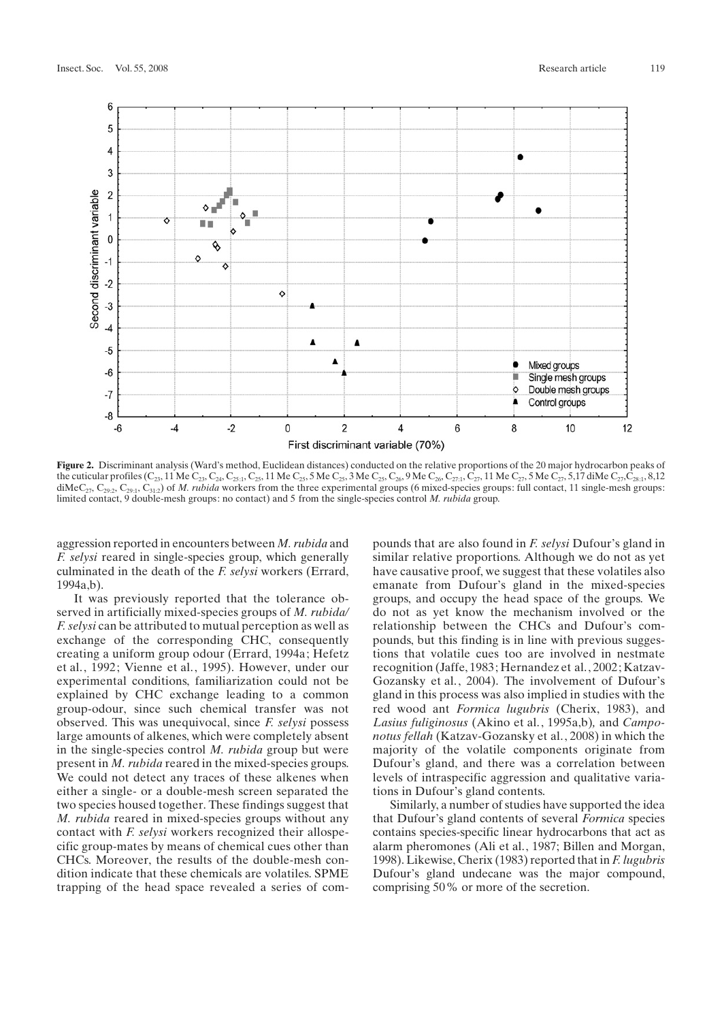

Figure 2. Discriminant analysis (Ward's method, Euclidean distances) conducted on the relative proportions of the 20 major hydrocarbon peaks of the cuticular profiles (C<sub>23</sub>, 11 Me C<sub>23</sub>, C<sub>25</sub>, I, C<sub>25</sub>, 11 Me C<sub>25</sub>, 5 Me C<sub>25</sub>, 3 Me C<sub>25</sub>, C<sub>86</sub>, 9 Me C<sub>26</sub>, C<sub>27</sub>, 1<sub>2</sub>, C<sub>27</sub>, 11 Me C<sub>27</sub>, 5,17 diMe C<sub>27</sub>, C<sub>28:1</sub>, 8,12  $\text{diMeC}_{27}$ , C<sub>29:2</sub>, C<sub>29:1</sub>, C<sub>31:2</sub>) of *M. rubida* workers from the three experimental groups (6 mixed-species groups: full contact, 11 single-mesh groups: limited contact, 9 double-mesh groups: no contact) and 5 from the single-species control M. rubida group.

aggression reported in encounters between M. rubida and F. selysi reared in single-species group, which generally culminated in the death of the F. selysi workers (Errard, 1994a,b).

It was previously reported that the tolerance observed in artificially mixed-species groups of *M. rubida* F. selysi can be attributed to mutual perception as well as exchange of the corresponding CHC, consequently creating a uniform group odour (Errard, 1994a; Hefetz et al., 1992; Vienne et al., 1995). However, under our experimental conditions, familiarization could not be explained by CHC exchange leading to a common group-odour, since such chemical transfer was not observed. This was unequivocal, since F. selysi possess large amounts of alkenes, which were completely absent in the single-species control M. rubida group but were present in M. rubida reared in the mixed-species groups. We could not detect any traces of these alkenes when either a single- or a double-mesh screen separated the two species housed together. These findings suggest that M. rubida reared in mixed-species groups without any contact with F. selysi workers recognized their allospecific group-mates by means of chemical cues other than CHCs. Moreover, the results of the double-mesh condition indicate that these chemicals are volatiles. SPME trapping of the head space revealed a series of compounds that are also found in F. selysi Dufour's gland in similar relative proportions. Although we do not as yet have causative proof, we suggest that these volatiles also emanate from Dufour's gland in the mixed-species groups, and occupy the head space of the groups. We do not as yet know the mechanism involved or the relationship between the CHCs and Dufour's compounds, but this finding is in line with previous suggestions that volatile cues too are involved in nestmate recognition (Jaffe, 1983; Hernandez et al., 2002; Katzav-Gozansky et al., 2004). The involvement of Dufour's gland in this process was also implied in studies with the red wood ant Formica lugubris (Cherix, 1983), and Lasius fuliginosus (Akino et al., 1995a,b), and Camponotus fellah (Katzav-Gozansky et al., 2008) in which the majority of the volatile components originate from Dufour's gland, and there was a correlation between levels of intraspecific aggression and qualitative variations in Dufour's gland contents.

Similarly, a number of studies have supported the idea that Dufour's gland contents of several *Formica* species contains species-specific linear hydrocarbons that act as alarm pheromones (Ali et al., 1987; Billen and Morgan, 1998). Likewise, Cherix (1983) reported that in F. lugubris Dufour's gland undecane was the major compound, comprising 50% or more of the secretion.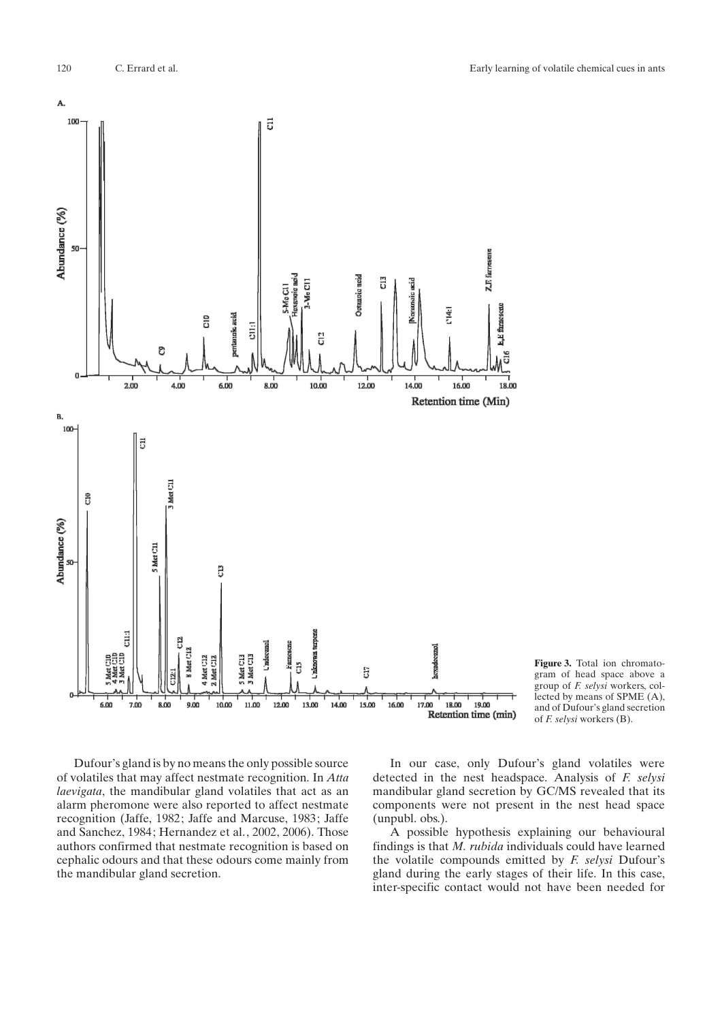

Figure 3. Total ion chromatogram of head space above a group of F. selysi workers, collected by means of SPME (A), and of Dufour's gland secretion of F. selysi workers (B).

Dufour's gland is by no means the only possible source of volatiles that may affect nestmate recognition. In Atta laevigata, the mandibular gland volatiles that act as an alarm pheromone were also reported to affect nestmate recognition (Jaffe, 1982; Jaffe and Marcuse, 1983; Jaffe and Sanchez, 1984; Hernandez et al., 2002, 2006). Those authors confirmed that nestmate recognition is based on cephalic odours and that these odours come mainly from the mandibular gland secretion.

In our case, only Dufour's gland volatiles were detected in the nest headspace. Analysis of F. selysi mandibular gland secretion by GC/MS revealed that its components were not present in the nest head space (unpubl. obs.).

A possible hypothesis explaining our behavioural findings is that M. rubida individuals could have learned the volatile compounds emitted by  $F$ . selysi Dufour's gland during the early stages of their life. In this case, inter-specific contact would not have been needed for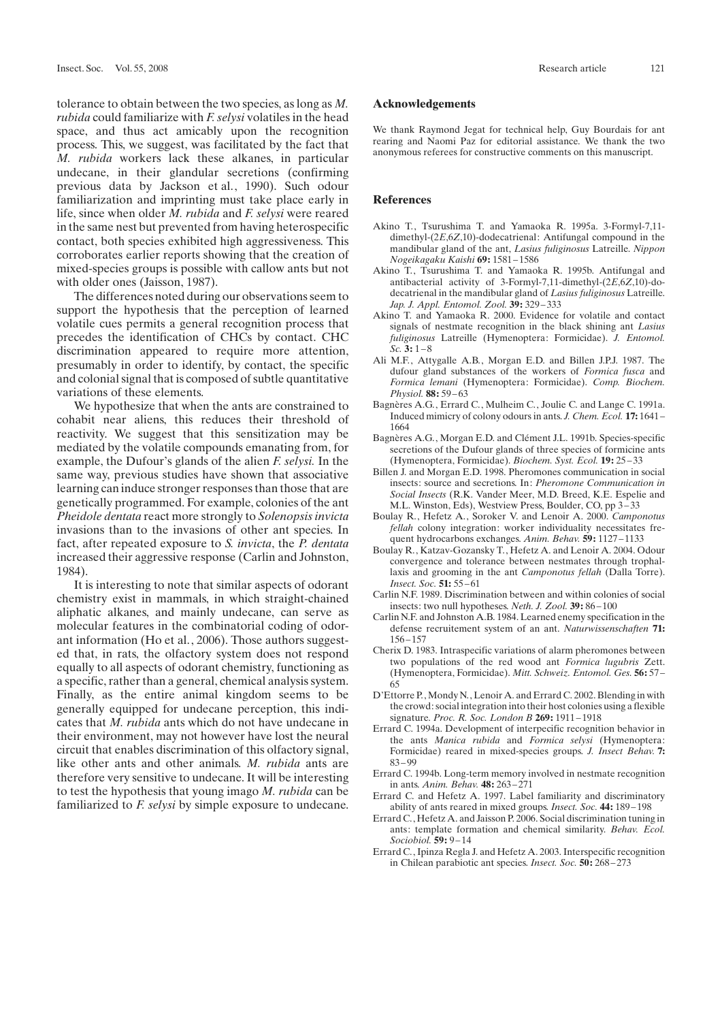tolerance to obtain between the two species, as long as M. rubida could familiarize with F. selysi volatiles in the head space, and thus act amicably upon the recognition process. This, we suggest, was facilitated by the fact that M. rubida workers lack these alkanes, in particular undecane, in their glandular secretions (confirming previous data by Jackson et al., 1990). Such odour familiarization and imprinting must take place early in life, since when older M. rubida and F. selysi were reared in the same nest but prevented from having heterospecific contact, both species exhibited high aggressiveness. This corroborates earlier reports showing that the creation of mixed-species groups is possible with callow ants but not with older ones (Jaisson, 1987).

The differences noted during our observations seem to support the hypothesis that the perception of learned volatile cues permits a general recognition process that precedes the identification of CHCs by contact. CHC discrimination appeared to require more attention, presumably in order to identify, by contact, the specific and colonial signal that is composed of subtle quantitative variations of these elements.

We hypothesize that when the ants are constrained to cohabit near aliens, this reduces their threshold of reactivity. We suggest that this sensitization may be mediated by the volatile compounds emanating from, for example, the Dufour's glands of the alien  $F$ . selysi. In the same way, previous studies have shown that associative learning can induce stronger responses than those that are genetically programmed. For example, colonies of the ant Pheidole dentata react more strongly to Solenopsis invicta invasions than to the invasions of other ant species. In fact, after repeated exposure to S. invicta, the P. dentata increased their aggressive response (Carlin and Johnston, 1984).

It is interesting to note that similar aspects of odorant chemistry exist in mammals, in which straight-chained aliphatic alkanes, and mainly undecane, can serve as molecular features in the combinatorial coding of odorant information (Ho et al., 2006). Those authors suggested that, in rats, the olfactory system does not respond equally to all aspects of odorant chemistry, functioning as a specific, rather than a general, chemical analysis system. Finally, as the entire animal kingdom seems to be generally equipped for undecane perception, this indicates that M. rubida ants which do not have undecane in their environment, may not however have lost the neural circuit that enables discrimination of this olfactory signal, like other ants and other animals. M. rubida ants are therefore very sensitive to undecane. It will be interesting to test the hypothesis that young imago M. rubida can be familiarized to *F. selysi* by simple exposure to undecane.

## Acknowledgements

We thank Raymond Jegat for technical help, Guy Bourdais for ant rearing and Naomi Paz for editorial assistance. We thank the two anonymous referees for constructive comments on this manuscript.

## References

- Akino T., Tsurushima T. and Yamaoka R. 1995a. 3-Formyl-7,11 dimethyl-(2E,6Z,10)-dodecatrienal: Antifungal compound in the mandibular gland of the ant, Lasius fuliginosus Latreille. Nippon Nogeikagaku Kaishi 69: 1581-1586
- Akino T., Tsurushima T. and Yamaoka R. 1995b. Antifungal and antibacterial activity of 3-Formyl-7,11-dimethyl-(2E,6Z,10)-dodecatrienal in the mandibular gland of Lasius fuliginosus Latreille. Jap. J. Appl. Entomol. Zool. 39: 329-333
- Akino T. and Yamaoka R. 2000. Evidence for volatile and contact signals of nestmate recognition in the black shining ant Lasius fuliginosus Latreille (Hymenoptera: Formicidae). J. Entomol.  $Sc. 3: 1-8$
- Ali M.F., Attygalle A.B., Morgan E.D. and Billen J.P.J. 1987. The dufour gland substances of the workers of Formica fusca and Formica lemani (Hymenoptera: Formicidae). Comp. Biochem. Physiol. 88: 59 – 63
- Bagnères A.G., Errard C., Mulheim C., Joulie C. and Lange C. 1991a. Induced mimicry of colony odours in ants. J. Chem. Ecol. 17: 1641 – 1664
- Bagnères A.G., Morgan E.D. and Clément J.L. 1991b. Species-specific secretions of the Dufour glands of three species of formicine ants (Hymenoptera, Formicidae). Biochem. Syst. Ecol. 19: 25 – 33
- Billen J. and Morgan E.D. 1998. Pheromones communication in social insects: source and secretions. In: Pheromone Communication in Social Insects (R.K. Vander Meer, M.D. Breed, K.E. Espelie and M.L. Winston, Eds), Westview Press, Boulder, CO, pp 3 – 33
- Boulay R., Hefetz A., Soroker V. and Lenoir A. 2000. Camponotus fellah colony integration: worker individuality necessitates frequent hydrocarbons exchanges. Anim. Behav. 59: 1127-1133
- Boulay R., Katzav-Gozansky T., Hefetz A. and Lenoir A. 2004. Odour convergence and tolerance between nestmates through trophallaxis and grooming in the ant Camponotus fellah (Dalla Torre). Insect. Soc. 51: 55 – 61
- Carlin N.F. 1989. Discrimination between and within colonies of social insects: two null hypotheses. Neth. J. Zool. 39:86-100
- Carlin N.F. and Johnston A.B. 1984. Learned enemy specification in the defense recruitement system of an ant. Naturwissenschaften 71: 156 – 157
- Cherix D. 1983. Intraspecific variations of alarm pheromones between two populations of the red wood ant Formica lugubris Zett. (Hymenoptera, Formicidae). Mitt. Schweiz. Entomol. Ges. 56: 57 – 65
- D'Ettorre P., Mondy N., Lenoir A. and Errard C. 2002. Blending in with the crowd: social integration into their host colonies using a flexible signature. *Proc. R. Soc. London B* 269: 1911-1918
- Errard C. 1994a. Development of interpecific recognition behavior in the ants Manica rubida and Formica selysi (Hymenoptera: Formicidae) reared in mixed-species groups. J. Insect Behav. 7: 83 – 99
- Errard C. 1994b. Long-term memory involved in nestmate recognition in ants. Anim. Behav. 48: 263 – 271
- Errard C. and Hefetz A. 1997. Label familiarity and discriminatory ability of ants reared in mixed groups. Insect. Soc. 44: 189 – 198
- Errard C., Hefetz A. and Jaisson P. 2006. Social discrimination tuning in ants: template formation and chemical similarity. Behav. Ecol. Sociobiol. **59:** 9-14
- Errard C., Ipinza Regla J. and Hefetz A. 2003. Interspecific recognition in Chilean parabiotic ant species. Insect. Soc. 50: 268 – 273